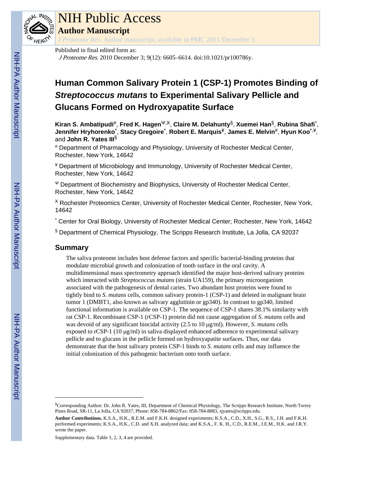

# NIH Public Access

**Author Manuscript**

*J Proteome Res*. Author manuscript; available in PMC 2011 December 3.

#### Published in final edited form as:

J Proteome Res. 2010 December 3; 9(12): 6605–6614. doi:10.1021/pr100786y.

# **Human Common Salivary Protein 1 (CSP-1) Promotes Binding of** *Streptococcus mutans* **to Experimental Salivary Pellicle and Glucans Formed on Hydroxyapatite Surface**

**Kiran S. Ambatipudi**#, **Fred K. Hagen**Ψ,Χ, **Claire M. Delahunty**§, **Xuemei Han**§, **Rubina Shafi**\* , **Jennifer Hryhorenko**\* , **Stacy Gregoire**\* , **Robert E. Marquis**¥, **James E. Melvin**#, **Hyun Koo**\*,¥, and **John R. Yates III**§

# Department of Pharmacology and Physiology, University of Rochester Medical Center, Rochester, New York, 14642

¥ Department of Microbiology and Immunology, University of Rochester Medical Center, Rochester, New York, 14642

<sup>Ψ</sup> Department of Biochemistry and Biophysics, University of Rochester Medical Center, Rochester, New York, 14642

<sup>Χ</sup> Rochester Proteomics Center, University of Rochester Medical Center, Rochester, New York, 14642

\* Center for Oral Biology, University of Rochester Medical Center; Rochester, New York, 14642

§ Department of Chemical Physiology, The Scripps Research Institute, La Jolla, CA 92037

## **Summary**

The saliva proteome includes host defense factors and specific bacterial-binding proteins that modulate microbial growth and colonization of tooth surface in the oral cavity. A multidimensional mass spectrometry approach identified the major host-derived salivary proteins which interacted with *Streptococcus mutans* (strain UA159), the primary microorganism associated with the pathogenesis of dental caries. Two abundant host proteins were found to tightly bind to *S. mutans* cells, common salivary protein-1 (CSP-1) and deleted in malignant brain tumor 1 (DMBT1, also known as salivary agglutinin or gp340). In contrast to gp340, limited functional information is available on CSP-1. The sequence of CSP-1 shares 38.1% similarity with rat CSP-1. Recombinant CSP-1 (rCSP-1) protein did not cause aggregation of *S. mutans* cells and was devoid of any significant biocidal activity (2.5 to 10 μg/ml). However, *S. mutans* cells exposed to rCSP-1 (10 μg/ml) in saliva displayed enhanced adherence to experimental salivary pellicle and to glucans in the pellicle formed on hydroxyapatite surfaces. Thus, our data demonstrate that the host salivary protein CSP-1 binds to *S. mutans* cells and may influence the initial colonization of this pathogenic bacterium onto tooth surface.

Supplementary data. Table 1, 2, 3, 4 are provided.

<sup>§</sup>Corresponding Author: Dr. John R. Yates, III, Department of Chemical Physiology, The Scripps Research Institute, North Torrey Pines Road, SR-11, La Jolla, CA 92037, Phone: 858-784-8862/Fax: 858-784-8883, sjyates@scripps.edu.

**Author Contributions.** K.S.A., H.K., R.E.M. and F.K.H. designed experiments; K.S.A., C.D., X.H., S.G., R.S., J.H. and F.K.H. performed experiments; K.S.A., H.K., C.D. and X.H. analyzed data; and K.S.A., F. K. H., C.D., R.E.M., J.E.M., H.K. and J.R.Y. wrote the paper.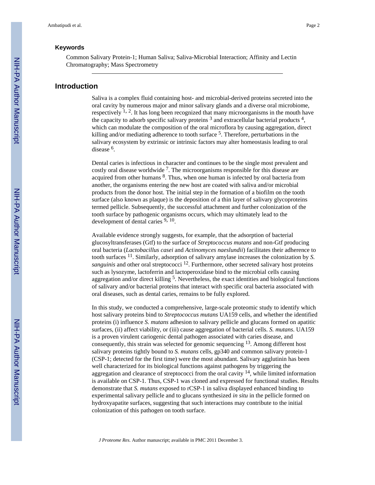#### **Keywords**

Common Salivary Protein-1; Human Saliva; Saliva-Microbial Interaction; Affinity and Lectin Chromatography; Mass Spectrometry

#### **Introduction**

Saliva is a complex fluid containing host- and microbial-derived proteins secreted into the oral cavity by numerous major and minor salivary glands and a diverse oral microbiome, respectively  $^{1, 2}$ . It has long been recognized that many microorganisms in the mouth have the capacity to adsorb specific salivary proteins  $3$  and extracellular bacterial products  $4$ , which can modulate the composition of the oral microflora by causing aggregation, direct killing and/or mediating adherence to tooth surface <sup>5</sup>. Therefore, perturbations in the salivary ecosystem by extrinsic or intrinsic factors may alter homeostasis leading to oral disease<sup>6</sup>.

Dental caries is infectious in character and continues to be the single most prevalent and costly oral disease worldwide<sup>7</sup>. The microorganisms responsible for this disease are acquired from other humans <sup>8</sup>. Thus, when one human is infected by oral bacteria from another, the organisms entering the new host are coated with saliva and/or microbial products from the donor host. The initial step in the formation of a biofilm on the tooth surface (also known as plaque) is the deposition of a thin layer of salivary glycoproteins termed pellicle. Subsequently, the successful attachment and further colonization of the tooth surface by pathogenic organisms occurs, which may ultimately lead to the development of dental caries  $\frac{9}{2}$ , 10.

Available evidence strongly suggests, for example, that the adsorption of bacterial glucosyltransferases (Gtf) to the surface of *Streptococcus mutans* and non-Gtf producing oral bacteria (*Lactobacillus casei* and *Actinomyces naeslundii*) facilitates their adherence to tooth surfaces 11. Similarly, adsorption of salivary amylase increases the colonization by *S. sanguinis* and other oral streptococci<sup>12</sup>. Furthermore, other secreted salivary host proteins such as lysozyme, lactoferrin and lactoperoxidase bind to the microbial cells causing aggregation and/or direct killing <sup>5</sup>. Nevertheless, the exact identities and biological functions of salivary and/or bacterial proteins that interact with specific oral bacteria associated with oral diseases, such as dental caries, remains to be fully explored.

In this study, we conducted a comprehensive, large-scale proteomic study to identify which host salivary proteins bind to *Streptococcus mutans* UA159 cells, and whether the identified proteins (i) influence *S. mutans* adhesion to salivary pellicle and glucans formed on apatitic surfaces, (ii) affect viability, or (iii) cause aggregation of bacterial cells. *S. mutans*. UA159 is a proven virulent cariogenic dental pathogen associated with caries disease, and consequently, this strain was selected for genomic sequencing 13. Among different host salivary proteins tightly bound to *S. mutans* cells, gp340 and common salivary protein-1 (CSP-1; detected for the first time) were the most abundant. Salivary agglutinin has been well characterized for its biological functions against pathogens by triggering the aggregation and clearance of streptococci from the oral cavity  $14$ , while limited information is available on CSP-1. Thus, CSP-1 was cloned and expressed for functional studies. Results demonstrate that *S. mutans* exposed to rCSP-1 in saliva displayed enhanced binding to experimental salivary pellicle and to glucans synthesized *in situ* in the pellicle formed on hydroxyapatite surfaces, suggesting that such interactions may contribute to the initial colonization of this pathogen on tooth surface.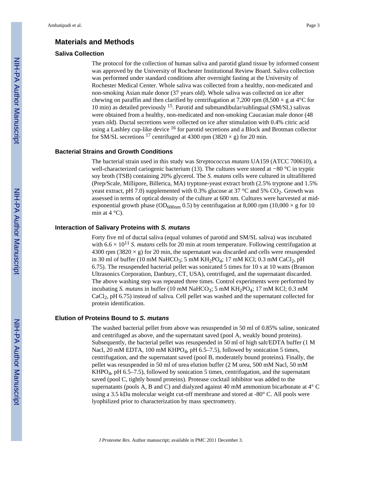#### **Materials and Methods**

#### **Saliva Collection**

The protocol for the collection of human saliva and parotid gland tissue by informed consent was approved by the University of Rochester Institutional Review Board. Saliva collection was performed under standard conditions after overnight fasting at the University of Rochester Medical Center. Whole saliva was collected from a healthy, non-medicated and non-smoking Asian male donor (37 years old). Whole saliva was collected on ice after chewing on paraffin and then clarified by centrifugation at 7,200 rpm (8,500  $\times$  g at 4 °C for 10 min) as detailed previously 15. Parotid and submandibular/sublingual (SM/SL) salivas were obtained from a healthy, non-medicated and non-smoking Caucasian male donor (48 years old). Ductal secretions were collected on ice after stimulation with 0.4% citric acid using a Lashley cup-like device <sup>16</sup> for parotid secretions and a Block and Brotman collector for SM/SL secretions <sup>17</sup> centrifuged at 4300 rpm (3820  $\times$  g) for 20 min.

#### **Bacterial Strains and Growth Conditions**

The bacterial strain used in this study was *Streptococcus mutans* UA159 (ATCC 700610), a well-characterized cariogenic bacterium (13). The cultures were stored at −80 °C in tryptic soy broth (TSB) containing 20% glycerol. The *S. mutans* cells were cultured in ultrafiltered (Prep/Scale, Millipore, Billerica, MA) tryptone-yeast extract broth (2.5% tryptone and 1.5% yeast extract, pH 7.0) supplemented with 0.3% glucose at 37  $\degree$ C and 5% CO<sub>2</sub>. Growth was assessed in terms of optical density of the culture at 600 nm. Cultures were harvested at midexponential growth phase ( $OD<sub>600nm</sub> 0.5$ ) by centrifugation at 8,000 rpm (10,000  $\times$  g for 10 min at  $4^{\circ}$ C).

#### **Interaction of Salivary Proteins with** *S. mutans*

Forty five ml of ductal saliva (equal volumes of parotid and SM/SL saliva) was incubated with  $6.6 \times 10^{11}$  *S. mutans* cells for 20 min at room temperature. Following centrifugation at 4300 rpm (3820  $\times$  g) for 20 min, the supernatant was discarded and cells were resuspended in 30 ml of buffer (10 mM NaHCO<sub>3</sub>; 5 mM KH<sub>2</sub>PO<sub>4</sub>; 17 mM KCl; 0.3 mM CaCl<sub>2</sub>, pH 6.75). The resuspended bacterial pellet was sonicated 5 times for 10 s at 10 watts (Branson Ultrasonics Corporation, Danbury, CT, USA), centrifuged, and the supernatant discarded. The above washing step was repeated three times. Control experiments were performed by incubating *S. mutans* in buffer (10 mM NaHCO<sub>3</sub>; 5 mM KH<sub>2</sub>PO<sub>4</sub>; 17 mM KCl; 0.3 mM CaCl2, pH 6.75) instead of saliva. Cell pellet was washed and the supernatant collected for protein identification.

#### **Elution of Proteins Bound to** *S. mutans*

The washed bacterial pellet from above was resuspended in 50 ml of 0.85% saline, sonicated and centrifuged as above, and the supernatant saved (pool A, weakly bound proteins). Subsequently, the bacterial pellet was resuspended in 50 ml of high salt/EDTA buffer (1 M Nacl, 20 mM EDTA, 100 mM KHPO<sub>4</sub>, pH 6.5-7.5), followed by sonication 5 times, centrifugation, and the supernatant saved (pool B, moderately bound proteins). Finally, the pellet was resuspended in 50 ml of urea elution buffer (2 M urea, 500 mM Nacl, 50 mM KHPO4, pH 6.5–7.5), followed by sonication 5 times, centrifugation, and the supernatant saved (pool C, tightly bound proteins). Protease cocktail inhibitor was added to the supernatants (pools A, B and C) and dialyzed against 40 mM ammonium bicarbonate at 4° C using a 3.5 kDa molecular weight cut-off membrane and stored at -80° C. All pools were lyophilized prior to characterization by mass spectrometry.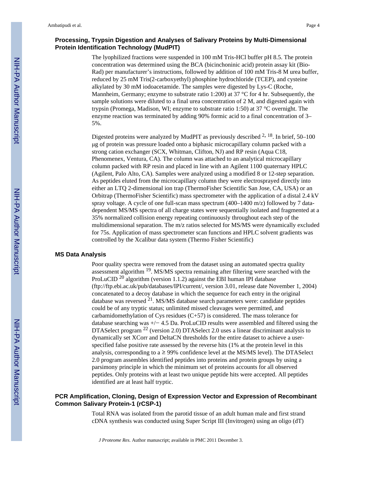#### **Processing, Trypsin Digestion and Analyses of Salivary Proteins by Multi-Dimensional Protein Identification Technology (MudPIT)**

The lyophilized fractions were suspended in 100 mM Tris-HCl buffer pH 8.5. The protein concentration was determined using the BCA (bicinchoninic acid) protein assay kit (Bio-Rad) per manufacturer's instructions, followed by addition of 100 mM Tris-8 M urea buffer, reduced by 25 mM Tris(2-carboxyethyl) phosphine hydrochloride (TCEP), and cysteine alkylated by 30 mM iodoacetamide. The samples were digested by Lys-C (Roche, Mannheim, Germany; enzyme to substrate ratio 1:200) at 37  $\degree$ C for 4 hr. Subsequently, the sample solutions were diluted to a final urea concentration of 2 M, and digested again with trypsin (Promega, Madison, WI; enzyme to substrate ratio 1:50) at 37 °C overnight. The enzyme reaction was terminated by adding 90% formic acid to a final concentration of 3– 5%.

Digested proteins were analyzed by MudPIT as previously described  $2, 18$ . In brief, 50–100 μg of protein was pressure loaded onto a biphasic microcapillary column packed with a strong cation exchanger (SCX, Whitman, Clifton, NJ) and RP resin (Aqua C18, Phenomenex, Ventura, CA). The column was attached to an analytical microcapillary column packed with RP resin and placed in line with an Agilent 1100 quaternary HPLC (Agilent, Palo Alto, CA). Samples were analyzed using a modified 8 or 12-step separation. As peptides eluted from the microcapillary column they were electrosprayed directly into either an LTQ 2-dimensional ion trap (ThermoFisher Scientific San Jose, CA, USA) or an Orbitrap (ThermoFisher Scientific) mass spectrometer with the application of a distal 2.4 kV spray voltage. A cycle of one full-scan mass spectrum (400–1400 m/z) followed by 7 datadependent MS/MS spectra of all charge states were sequentially isolated and fragmented at a 35% normalized collision energy repeating continuously throughout each step of the multidimensional separation. The m/z ratios selected for MS/MS were dynamically excluded for 75s. Application of mass spectrometer scan functions and HPLC solvent gradients was controlled by the Xcalibur data system (Thermo Fisher Scientific)

#### **MS Data Analysis**

Poor quality spectra were removed from the dataset using an automated spectra quality assessment algorithm 19. MS/MS spectra remaining after filtering were searched with the ProLuCID 20 algorithm (version 1.1.2) against the EBI human IPI database [\(ftp://ftp.ebi.ac.uk/pub/databases/IPI/current/](ftp://ftp.ebi.ac.uk/pub/databases/IPI/current/), version 3.01, release date November 1, 2004) concatenated to a decoy database in which the sequence for each entry in the original database was reversed  $^{21}$ . MS/MS database search parameters were: candidate peptides could be of any tryptic status; unlimited missed cleavages were permitted, and carbamidomethylation of Cys residues  $(C+57)$  is considered. The mass tolerance for database searching was +/− 4.5 Da. ProLuCID results were assembled and filtered using the DTASelect program <sup>22</sup> (version 2.0) DTASelect 2.0 uses a linear discriminant analysis to dynamically set XCorr and DeltaCN thresholds for the entire dataset to achieve a userspecified false positive rate assessed by the reverse hits (1% at the protein level in this analysis, corresponding to a  $\geq$  99% confidence level at the MS/MS level). The DTASelect 2.0 program assembles identified peptides into proteins and protein groups by using a parsimony principle in which the minimum set of proteins accounts for all observed peptides. Only proteins with at least two unique peptide hits were accepted. All peptides identified are at least half tryptic.

#### **PCR Amplification, Cloning, Design of Expression Vector and Expression of Recombinant Common Salivary Protein-1 (rCSP-1)**

Total RNA was isolated from the parotid tissue of an adult human male and first strand cDNA synthesis was conducted using Super Script III (Invitrogen) using an oligo (dT)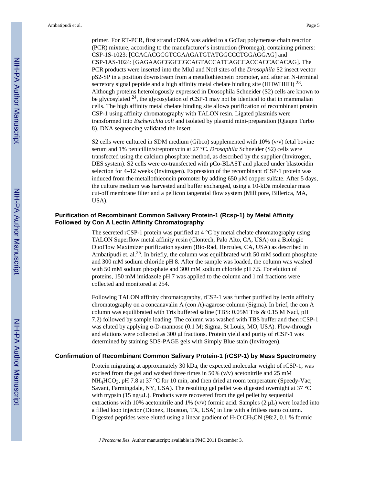primer. For RT-PCR, first strand cDNA was added to a GoTaq polymerase chain reaction (PCR) mixture, according to the manufacturer's instruction (Promega), containing primers: CSP-1S-1023: [CCACACGCGTCGAAGATGTATGGCCCTGGAGGAG] and CSP-1AS-1024: [GAGAAGCGGCCGCAGTACCATCAGCCACCACCACACAG]. The PCR products were inserted into the MluI and NotI sites of the *Drosophila* S2 insect vector pS2-SP in a position downstream from a metallothieonein promoter, and after an N-terminal secretory signal peptide and a high affinity metal chelate binding site (HHWHHH)  $^{23}$ . Although proteins heterologously expressed in Drosophila Schneider (S2) cells are known to be glycosylated  $^{24}$ , the glycosylation of rCSP-1 may not be identical to that in mammalian cells. The high affinity metal chelate binding site allows purification of recombinant protein CSP-1 using affinity chromatography with TALON resin. Ligated plasmids were transformed into *Escherichia coli* and isolated by plasmid mini-preparation (Qiagen Turbo 8). DNA sequencing validated the insert.

S2 cells were cultured in SDM medium (Gibco) supplemented with  $10\%$  (v/v) fetal bovine serum and 1% penicillin/streptomycin at 27 °C. *Drosophila* Schneider (S2) cells were transfected using the calcium phosphate method, as described by the supplier (Invitrogen, DES system). S2 cells were co-transfected with pCo-BLAST and placed under blastocidin selection for 4–12 weeks (Invitrogen). Expression of the recombinant rCSP-1 protein was induced from the metallothieonein promoter by adding 650 μM copper sulfate. After 5 days, the culture medium was harvested and buffer exchanged, using a 10-kDa molecular mass cut-off membrane filter and a pellicon tangential flow system (Millipore, Billerica, MA, USA).

#### **Purification of Recombinant Common Salivary Protein-1 (Rcsp-1) by Metal Affinity Followed by Con A Lectin Affinity Chromatography**

The secreted rCSP-1 protein was purified at  $4^{\circ}$ C by metal chelate chromatography using TALON Superflow metal affinity resin (Clontech, Palo Alto, CA, USA) on a Biologic DuoFlow Maximizer purification system (Bio-Rad, Hercules, CA, USA) as described in Ambatipudi et. al.25. In briefly, the column was equilibrated with 50 mM sodium phosphate and 300 mM sodium chloride pH 8. After the sample was loaded, the column was washed with 50 mM sodium phosphate and 300 mM sodium chloride pH 7.5. For elution of proteins, 150 mM imidazole pH 7 was applied to the column and 1 ml fractions were collected and monitored at 254.

Following TALON affinity chromatography, rCSP-1 was further purified by lectin affinity chromatography on a concanavalin A (con A)-agarose column (Sigma). In brief, the con A column was equilibrated with Tris buffered saline (TBS: 0.05M Tris & 0.15 M Nacl, pH 7.2) followed by sample loading. The column was washed with TBS buffer and then rCSP-1 was eluted by applying α-D-mannose (0.1 M; Sigma, St Louis, MO, USA). Flow-through and elutions were collected as 300 μl fractions. Protein yield and purity of rCSP-1 was determined by staining SDS-PAGE gels with Simply Blue stain (Invitrogen).

#### **Confirmation of Recombinant Common Salivary Protein-1 (rCSP-1) by Mass Spectrometry**

Protein migrating at approximately 30 kDa, the expected molecular weight of rCSP-1, was excised from the gel and washed three times in 50%  $(v/v)$  acetonitrile and 25 mM  $NH_4HCO_3$ , pH 7.8 at 37 °C for 10 min, and then dried at room temperature (Speedy-Vac; Savant, Farmingdale, NY, USA). The resulting gel pellet was digested overnight at 37 °C with trypsin (15 ng/ $\mu$ L). Products were recovered from the gel pellet by sequential extractions with 10% acetonitrile and 1% (v/v) formic acid. Samples (2  $\mu$ L) were loaded into a filled loop injector (Dionex, Houston, TX, USA) in line with a fritless nano column. Digested peptides were eluted using a linear gradient of  $H_2O:CH_3CN$  (98:2, 0.1 % formic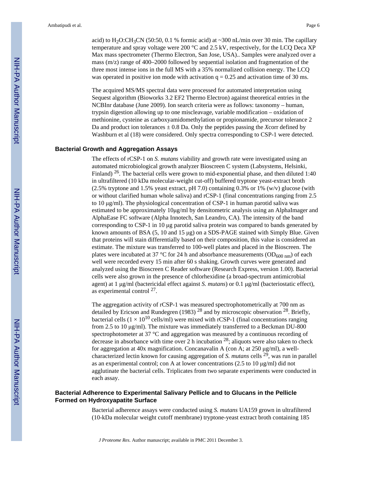acid) to  $H_2O:CH_3CN$  (50:50, 0.1 % formic acid) at  $\sim$ 300 nL/min over 30 min. The capillary temperature and spray voltage were 200 °C and 2.5 kV, respectively, for the LCQ Deca XP Max mass spectrometer (Thermo Electron, San Jose, USA).. Samples were analyzed over a mass (m/z) range of 400–2000 followed by sequential isolation and fragmentation of the three most intense ions in the full MS with a 35% normalized collision energy. The LCQ was operated in positive ion mode with activation  $q = 0.25$  and activation time of 30 ms.

The acquired MS/MS spectral data were processed for automated interpretation using Sequest algorithm (Bioworks 3.2 EF2 Thermo Electron) against theoretical entries in the NCBInr database (June 2009). Ion search criteria were as follows: taxonomy – human, trypsin digestion allowing up to one miscleavage, variable modification – oxidation of methionine, cysteine as carboxyamidomethylation or propionamide, precursor tolerance 2 Da and product ion tolerances  $\pm$  0.8 Da. Only the peptides passing the *X*corr defined by Washburn et al (18) were considered. Only spectra corresponding to CSP-1 were detected.

#### **Bacterial Growth and Aggregation Assays**

The effects of rCSP-1 on *S. mutans* viability and growth rate were investigated using an automated microbiological growth analyzer Bioscreen C system (Labsystems, Helsinki, Finland)  $^{26}$ . The bacterial cells were grown to mid-exponential phase, and then diluted 1:40 in ultrafiltered (10 kDa molecular-weight cut-off) buffered tryptone yeast-extract broth (2.5% tryptone and 1.5% yeast extract, pH 7.0) containing 0.3% or 1% (w/v) glucose (with or without clarified human whole saliva) and rCSP-1 (final concentrations ranging from 2.5 to 10 μg/ml). The physiological concentration of CSP-1 in human parotid saliva was estimated to be approximately 10μg/ml by densitometric analysis using an AlphaImager and AlphaEase FC software (Alpha Innotech, San Leandro, CA). The intensity of the band corresponding to CSP-1 in 10 μg parotid saliva protein was compared to bands generated by known amounts of BSA (5, 10 and 15 μg) on a SDS-PAGE stained with Simply Blue. Given that proteins will stain differentially based on their composition, this value is considered an estimate. The mixture was transferred to 100-well plates and placed in the Bioscreen. The plates were incubated at 37 °C for 24 h and absorbance measurements ( $OD_{600 \text{ nm}}$ ) of each well were recorded every 15 min after 60 s shaking. Growth curves were generated and analyzed using the Bioscreen C Reader software (Research Express, version 1.00). Bacterial cells were also grown in the presence of chlorhexidine (a broad-spectrum antimicrobial agent) at 1 μg/ml (bactericidal effect against *S. mutans*) or 0.1 μg/ml (bacteriostatic effect), as experimental control <sup>27</sup>.

The aggregation activity of rCSP-1 was measured spectrophotometrically at 700 nm as detailed by Ericson and Rundegren (1983) 28 and by microscopic observation 28. Briefly, bacterial cells ( $1 \times 10^{10}$  cells/ml) were mixed with rCSP-1 (final concentrations ranging from 2.5 to 10 μg/ml). The mixture was immediately transferred to a Beckman DU-800 spectrophotometer at 37 °C and aggregation was measured by a continuous recording of decrease in absorbance with time over 2 h incubation  $^{28}$ ; aliquots were also taken to check for aggregation at 40x magnification. Concanavalin A (con A; at 250 μg/ml), a wellcharacterized lectin known for causing aggregation of *S. mutans* cells 29, was run in parallel as an experimental control; con A at lower concentrations (2.5 to 10  $\mu$ g/ml) did not agglutinate the bacterial cells. Triplicates from two separate experiments were conducted in each assay.

#### **Bacterial Adherence to Experimental Salivary Pellicle and to Glucans in the Pellicle Formed on Hydroxyapatite Surface**

Bacterial adherence assays were conducted using *S. mutans* UA159 grown in ultrafiltered (10-kDa molecular weight cutoff membrane) tryptone-yeast extract broth containing 185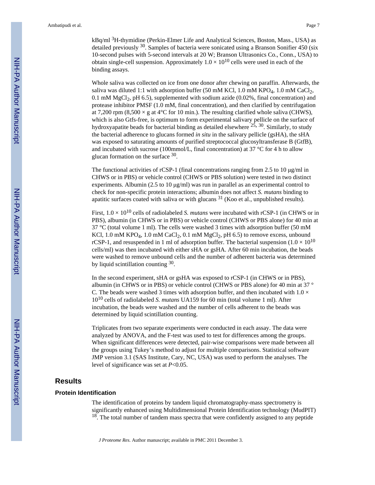kBq/ml <sup>3</sup>H-thymidine (Perkin-Elmer Life and Analytical Sciences, Boston, Mass., USA) as detailed previously  $30$ . Samples of bacteria were sonicated using a Branson Sonifier 450 (six 10-second pulses with 5-second intervals at 20 W; Branson Ultrasonics Co., Conn., USA) to obtain single-cell suspension. Approximately  $1.0 \times 10^{10}$  cells were used in each of the binding assays.

Whole saliva was collected on ice from one donor after chewing on paraffin. Afterwards, the saliva was diluted 1:1 with adsorption buffer (50 mM KCl, 1.0 mM KPO<sub>4</sub>, 1.0 mM CaCl<sub>2</sub>, 0.1 mM MgCl<sub>2</sub>, pH 6.5), supplemented with sodium azide (0.02%, final concentration) and protease inhibitor PMSF (1.0 mM, final concentration), and then clarified by centrifugation at 7,200 rpm (8,500  $\times$  g at 4°C for 10 min.). The resulting clarified whole saliva (CHWS), which is also Gtfs-free, is optimum to form experimental salivary pellicle on the surface of hydroxyapatite beads for bacterial binding as detailed elsewhere  $25$ ,  $30$ . Similarly, to study the bacterial adherence to glucans formed *in situ* in the salivary pellicle (gsHA), the sHA was exposed to saturating amounts of purified streptococcal glucosyltransferase B (GtfB), and incubated with sucrose (100mmol/L, final concentration) at 37  $\degree$ C for 4 h to allow glucan formation on the surface <sup>30</sup>.

The functional activities of rCSP-1 (final concentrations ranging from 2.5 to 10 μg/ml in CHWS or in PBS) or vehicle control (CHWS or PBS solution) were tested in two distinct experiments. Albumin (2.5 to 10 μg/ml) was run in parallel as an experimental control to check for non-specific protein interactions; albumin does not affect *S. mutans* binding to apatitic surfaces coated with saliva or with glucans 31 (Koo et al., unpublished results).

First,  $1.0 \times 10^{10}$  cells of radiolabeled *S. mutans* were incubated with rCSP-1 (in CHWS or in PBS), albumin (in CHWS or in PBS) or vehicle control (CHWS or PBS alone) for 40 min at 37 °C (total volume 1 ml). The cells were washed 3 times with adsorption buffer (50 mM KCl,  $1.0 \text{ mM KPO}_4$ ,  $1.0 \text{ mM } \text{CaCl}_2$ ,  $0.1 \text{ mM } \text{MgCl}_2$ ,  $pH(6.5)$  to remove excess, unbound rCSP-1, and resuspended in 1 ml of adsorption buffer. The bacterial suspension ( $1.0 \times 10^{10}$ ) cells/ml) was then incubated with either sHA or gsHA. After 60 min incubation, the beads were washed to remove unbound cells and the number of adherent bacteria was determined by liquid scintillation counting 30.

In the second experiment, sHA or gsHA was exposed to rCSP-1 (in CHWS or in PBS), albumin (in CHWS or in PBS) or vehicle control (CHWS or PBS alone) for 40 min at 37 ° C. The beads were washed 3 times with adsorption buffer, and then incubated with  $1.0 \times$ 1010 cells of radiolabeled *S. mutans* UA159 for 60 min (total volume 1 ml). After incubation, the beads were washed and the number of cells adherent to the beads was determined by liquid scintillation counting.

Triplicates from two separate experiments were conducted in each assay. The data were analyzed by ANOVA, and the F-test was used to test for differences among the groups. When significant differences were detected, pair-wise comparisons were made between all the groups using Tukey's method to adjust for multiple comparisons. Statistical software JMP version 3.1 (SAS Institute, Cary, NC, USA) was used to perform the analyses. The level of significance was set at *P*<0.05.

### **Results**

#### **Protein Identification**

The identification of proteins by tandem liquid chromatography-mass spectrometry is significantly enhanced using Multidimensional Protein Identification technology (MudPIT)  $18<sup>18</sup>$ . The total number of tandem mass spectra that were confidently assigned to any peptide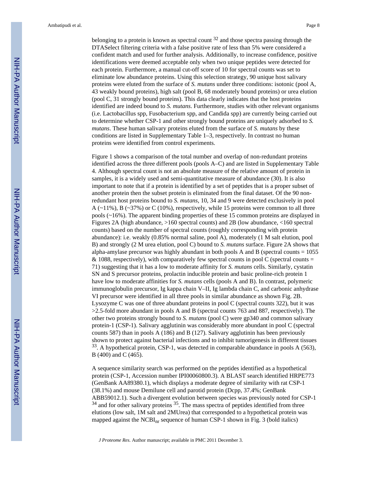belonging to a protein is known as spectral count  $32$  and those spectra passing through the DTASelect filtering criteria with a false positive rate of less than 5% were considered a confident match and used for further analysis. Additionally, to increase confidence, positive identifications were deemed acceptable only when two unique peptides were detected for each protein. Furthermore, a manual cut-off score of 10 for spectral counts was set to eliminate low abundance proteins. Using this selection strategy, 90 unique host salivary proteins were eluted from the surface of *S. mutans* under three conditions: isotonic (pool A, 43 weakly bound proteins), high salt (pool B, 68 moderately bound proteins) or urea elution (pool C, 31 strongly bound proteins). This data clearly indicates that the host proteins identified are indeed bound to *S. mutans*. Furthermore, studies with other relevant organisms (i.e. Lactobacillus spp, Fusobacterium spp, and Candida spp) are currently being carried out to determine whether CSP-1 and other strongly bound proteins are uniquely adsorbed to *S. mutans*. These human salivary proteins eluted from the surface of *S. mutans* by these conditions are listed in Supplementary Table 1–3, respectively. In contrast no human proteins were identified from control experiments.

Figure 1 shows a comparison of the total number and overlap of non-redundant proteins identified across the three different pools (pools A–C) and are listed in Supplementary Table 4. Although spectral count is not an absolute measure of the relative amount of protein in samples, it is a widely used and semi-quantitative measure of abundance (30). It is also important to note that if a protein is identified by a set of peptides that is a proper subset of another protein then the subset protein is eliminated from the final dataset. Of the 90 nonredundant host proteins bound to *S. mutans*, 10, 34 and 9 were detected exclusively in pool A  $(\sim11\%)$ , B  $(\sim37\%)$  or C (10%), respectively, while 15 proteins were common to all three pools (~16%). The apparent binding properties of these 15 common proteins are displayed in Figures 2A (high abundance, >160 spectral counts) and 2B (low abundance, <160 spectral counts) based on the number of spectral counts (roughly corresponding with protein abundance): i.e. weakly (0.85% normal saline, pool A), moderately (1 M salt elution, pool B) and strongly (2 M urea elution, pool C) bound to *S. mutans* surface. Figure 2A shows that alpha-amylase precursor was highly abundant in both pools A and B (spectral counts  $= 1055$ ) & 1088, respectively), with comparatively few spectral counts in pool C (spectral counts  $=$ 71) suggesting that it has a low to moderate affinity for *S. mutans* cells. Similarly, cystatin SN and S precursor proteins, prolactin inducible protein and basic proline-rich protein 1 have low to moderate affinities for *S. mutans* cells (pools A and B). In contrast, polymeric immunoglobulin precursor, Ig kappa chain V–II, Ig lambda chain C, and carbonic anhydrase VI precursor were identified in all three pools in similar abundance as shown Fig. 2B. Lysozyme C was one of three abundant proteins in pool C (spectral counts 322), but it was >2.5-fold more abundant in pools A and B (spectral counts 763 and 887, respectively). The other two proteins strongly bound to *S. mutans* (pool C) were gp340 and common salivary protein-1 (CSP-1). Salivary agglutinin was considerably more abundant in pool C (spectral counts 587) than in pools A (186) and B (127). Salivary agglutinin has been previously shown to protect against bacterial infections and to inhibit tumorigenesis in different tissues  $33$ . A hypothetical protein, CSP-1, was detected in comparable abundance in pools A (563), B (400) and C (465).

A sequence similarity search was performed on the peptides identified as a hypothetical protein (CSP-1, Accession number IPI00060800.3). A BLAST search identified HRPE773 (GenBank AA89380.1), which displays a moderate degree of similarity with rat CSP-1 (38.1%) and mouse Demilune cell and parotid protein (Dcpp, 37.4%; GenBank ABB59012.1). Such a divergent evolution between species was previously noted for CSP-1  $34$  and for other salivary proteins  $35$ . The mass spectra of peptides identified from three elutions (low salt, 1M salt and 2MUrea) that corresponded to a hypothetical protein was mapped against the  $NCBI_{nr}$  sequence of human CSP-1 shown in Fig. 3 (bold italics)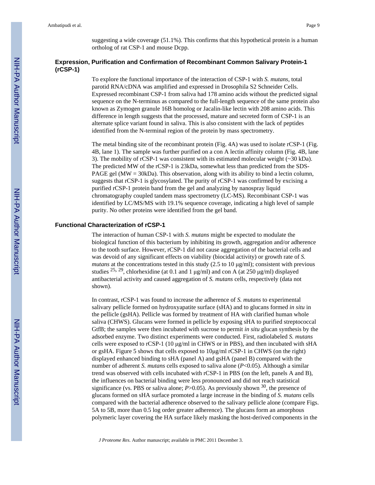suggesting a wide coverage (51.1%). This confirms that this hypothetical protein is a human ortholog of rat CSP-1 and mouse Dcpp.

#### **Expression, Purification and Confirmation of Recombinant Common Salivary Protein-1 (rCSP-1)**

To explore the functional importance of the interaction of CSP-1 with *S. mutans*, total parotid RNA/cDNA was amplified and expressed in Drosophila S2 Schneider Cells. Expressed recombinant CSP-1 from saliva had 178 amino acids without the predicted signal sequence on the N-terminus as compared to the full-length sequence of the same protein also known as Zymogen granule 16B homolog or Jacalin-like lectin with 208 amino acids. This difference in length suggests that the processed, mature and secreted form of CSP-1 is an alternate splice variant found in saliva. This is also consistent with the lack of peptides identified from the N-terminal region of the protein by mass spectrometry.

The metal binding site of the recombinant protein (Fig. 4A) was used to isolate rCSP-1 (Fig. 4B, lane 1). The sample was further purified on a con A lectin affinity column (Fig. 4B, lane 3). The mobility of rCSP-1 was consistent with its estimated molecular weight (~30 kDa). The predicted MW of the rCSP-1 is 23kDa, somewhat less than predicted from the SDS-PAGE gel ( $MW = 30kDa$ ). This observation, along with its ability to bind a lectin column, suggests that rCSP-1 is glycosylated. The purity of rCSP-1 was confirmed by excising a purified rCSP-1 protein band from the gel and analyzing by nanospray liquid chromatography coupled tandem mass spectrometry (LC-MS). Recombinant CSP-1 was identified by LC/MS/MS with 19.1% sequence coverage, indicating a high level of sample purity. No other proteins were identified from the gel band.

#### **Functional Characterization of rCSP-1**

The interaction of human CSP-1 with *S. mutans* might be expected to modulate the biological function of this bacterium by inhibiting its growth, aggregation and/or adherence to the tooth surface. However, rCSP-1 did not cause aggregation of the bacterial cells and was devoid of any significant effects on viability (biocidal activity) or growth rate of *S. mutans* at the concentrations tested in this study (2.5 to 10  $\mu$ g/ml); consistent with previous studies  $25$ ,  $29$ , chlorhexidine (at 0.1 and 1 μg/ml) and con A (at 250 μg/ml) displayed antibacterial activity and caused aggregation of *S. mutans* cells, respectively (data not shown).

In contrast, rCSP-1 was found to increase the adherence of *S. mutans* to experimental salivary pellicle formed on hydroxyapatite surface (sHA) and to glucans formed *in situ* in the pellicle (gsHA). Pellicle was formed by treatment of HA with clarified human whole saliva (CHWS). Glucans were formed in pellicle by exposing sHA to purified streptococcal GtfB; the samples were then incubated with sucrose to permit *in situ* glucan synthesis by the adsorbed enzyme. Two distinct experiments were conducted. First, radiolabeled *S. mutans* cells were exposed to rCSP-1 (10 μg/ml in CHWS or in PBS), and then incubated with sHA or gsHA. Figure 5 shows that cells exposed to  $10\mu\text{g/ml}$  rCSP-1 in CHWS (on the right) displayed enhanced binding to sHA (panel A) and gsHA (panel B) compared with the number of adherent *S. mutans* cells exposed to saliva alone (*P*<0.05). Although a similar trend was observed with cells incubated with rCSP-1 in PBS (on the left, panels A and B), the influences on bacterial binding were less pronounced and did not reach statistical significance (vs. PBS or saliva alone;  $P > 0.05$ ). As previously shown <sup>30</sup>, the presence of glucans formed on sHA surface promoted a large increase in the binding of *S. mutans* cells compared with the bacterial adherence observed to the salivary pellicle alone (compare Figs. 5A to 5B, more than 0.5 log order greater adherence). The glucans form an amorphous polymeric layer covering the HA surface likely masking the host-derived components in the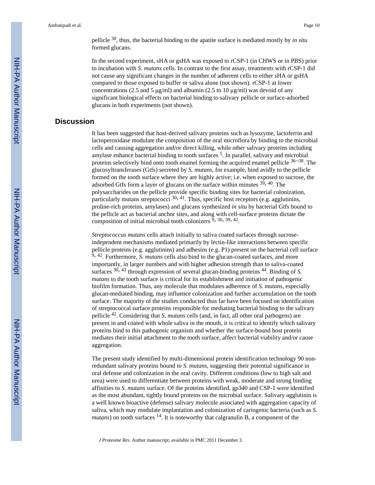pellicle 30, thus, the bacterial binding to the apatite surface is mediated mostly by *in situ* formed glucans.

In the second experiment, sHA or gsHA was exposed to rCSP-1 (in CHWS or in PBS) prior to incubation with *S. mutans* cells. In contrast to the first assay, treatments with rCSP-1 did not cause any significant changes in the number of adherent cells to either sHA or gsHA compared to those exposed to buffer or saliva alone (not shown). rCSP-1 at lower concentrations (2.5 and 5  $\mu$ g/ml) and albumin (2.5 to 10  $\mu$ g/ml) was devoid of any significant biological effects on bacterial binding to salivary pellicle or surface-adsorbed glucans in both experiments (not shown).

# **Discussion**

It has been suggested that host-derived salivary proteins such as lysozyme, lactoferrin and lactoperoxidase modulate the composition of the oral microflora by binding to the microbial cells and causing aggregation and/or direct killing, while other salivary proteins including amylase enhance bacterial binding to tooth surfaces<sup>5</sup>. In parallel, salivary and microbial proteins selectively bind onto tooth enamel forming the acquired enamel pellicle  $36-38$ . The glucosyltransferases (Gtfs) secreted by *S. mutans*, for example, bind avidly to the pellicle formed on the tooth surface where they are highly active; i.e. when exposed to sucrose, the adsorbed Gtfs form a layer of glucans on the surface within minutes  $39,40$ . The polysaccharides on the pellicle provide specific binding sites for bacterial colonization, particularly mutans streptococci  $30, 41$ . Thus, specific host receptors (e.g. agglutinins, proline-rich proteins, amylases) and glucans synthesized *in situ* by bacterial Gtfs bound to the pellicle act as bacterial anchor sites, and along with cell-surface proteins dictate the composition of initial microbial tooth colonizers  $\overline{9}$ , 30, 39, 42.

*Streptococcus mutans* cells attach initially to saliva coated surfaces through sucroseindependent mechanisms mediated primarily by lectin-like interactions between specific pellicle proteins (e.g. agglutinins) and adhesins (e.g. P1) present on the bacterial cell surface <sup>9</sup>, <sup>42</sup>. Furthermore, *S. mutans* cells also bind to the glucan-coated surfaces, and more importantly, in larger numbers and with higher adhesion strength than to saliva-coated surfaces <sup>30, 43</sup> through expression of several glucan-binding proteins <sup>44</sup>. Binding of *S*. *mutans* to the tooth surface is critical for its establishment and initiation of pathogenic biofilm formation. Thus, any molecule that modulates adherence of *S. mutans*, especially glucan-mediated binding, may influence colonization and further accumulation on the tooth surface. The majority of the studies conducted thus far have been focused on identification of streptococcal surface proteins responsible for mediating bacterial binding to the salivary pellicle 42. Considering that *S. mutans* cells (and, in fact, all other oral pathogens) are present in and coated with whole saliva in the mouth, it is critical to identify which salivary proteins bind to this pathogenic organism and whether the surface-bound host protein mediates their initial attachment to the tooth surface, affect bacterial viability and/or cause aggregation.

The present study identified by multi-dimensional protein identification technology 90 nonredundant salivary proteins bound to *S. mutans*, suggesting their potential significance in oral defense and colonization in the oral cavity. Different conditions (low to high salt and urea) were used to differentiate between proteins with weak, moderate and strong binding affinities to *S. mutans* surface. Of the proteins identified, gp340 and CSP-1 were identified as the most abundant, tightly bound proteins on the microbial surface. Salivary agglutinin is a well known bioactive (defense) salivary molecule associated with aggregation capacity of saliva, which may modulate implantation and colonization of cariogenic bacteria (such as *S.*  $mutans$ ) on tooth surfaces  $14$ . It is noteworthy that calgranulin B, a component of the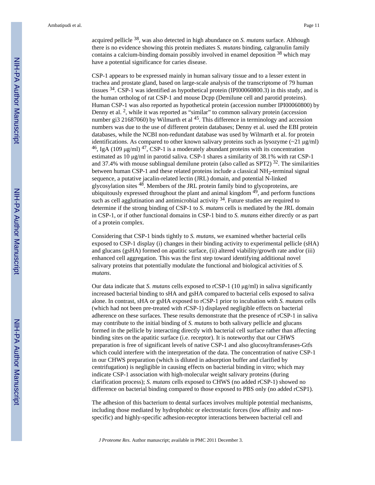acquired pellicle 38, was also detected in high abundance on *S. mutans* surface. Although there is no evidence showing this protein mediates *S. mutans* binding, calgranulin family contains a calcium-binding domain possibly involved in enamel deposition 38 which may have a potential significance for caries disease.

CSP-1 appears to be expressed mainly in human salivary tissue and to a lesser extent in trachea and prostate gland, based on large-scale analysis of the transcriptome of 79 human tissues 34. CSP-1 was identified as hypothetical protein (IPI00060800.3) in this study, and is the human ortholog of rat CSP-1 and mouse Dcpp (Demilune cell and parotid proteins). Human CSP-1 was also reported as hypothetical protein (accession number IPI00060800) by Denny et al. <sup>2</sup>, while it was reported as "similar" to common salivary protein (accession number gi3 21687060) by Wilmarth et al <sup>45</sup>. This difference in terminology and accession numbers was due to the use of different protein databases; Denny et al. used the EBI protein databases, while the NCBI non-redundant database was used by Wilmarth et al. for protein identifications. As compared to other known salivary proteins such as lysozyme (~21 μg/ml) <sup>46</sup>, IgA (109 μg/ml)<sup>47</sup>, CSP-1 is a moderately abundant proteins with its concentration estimated as 10 μg/ml in parotid saliva. CSP-1 shares a similarity of 38.1% with rat CSP-1 and 37.4% with mouse sublingual demilune protein (also called as SPT2)  $32$ . The similarities between human CSP-1 and these related proteins include a classical NH<sub>2</sub>-terminal signal sequence, a putative jacalin-related lectin (JRL) domain, and potential N-linked glycosylation sites 48. Members of the JRL protein family bind to glycoproteins, are ubiquitously expressed throughout the plant and animal kingdom  $49$ , and perform functions such as cell agglutination and antimicrobial activity  $34$ . Future studies are required to determine if the strong binding of CSP-1 to *S. mutans* cells is mediated by the JRL domain in CSP-1, or if other functional domains in CSP-1 bind to *S. mutans* either directly or as part of a protein complex.

Considering that CSP-1 binds tightly to *S. mutans*, we examined whether bacterial cells exposed to CSP-1 display (i) changes in their binding activity to experimental pellicle (sHA) and glucans (gsHA) formed on apatitic surface, (ii) altered viability/growth rate and/or (iii) enhanced cell aggregation. This was the first step toward identifying additional novel salivary proteins that potentially modulate the functional and biological activities of *S. mutans*.

Our data indicate that *S. mutans* cells exposed to rCSP-1 (10 μg/ml) in saliva significantly increased bacterial binding to sHA and gsHA compared to bacterial cells exposed to saliva alone. In contrast, sHA or gsHA exposed to rCSP-1 prior to incubation with *S. mutans* cells (which had not been pre-treated with rCSP-1) displayed negligible effects on bacterial adherence on these surfaces. These results demonstrate that the presence of rCSP-1 in saliva may contribute to the initial binding of *S. mutans* to both salivary pellicle and glucans formed in the pellicle by interacting directly with bacterial cell surface rather than affecting binding sites on the apatitic surface (i.e. receptor). It is noteworthy that our CHWS preparation is free of significant levels of native CSP-1 and also glucosyltransferases-Gtfs which could interfere with the interpretation of the data. The concentration of native CSP-1 in our CHWS preparation (which is diluted in adsorption buffer and clarified by centrifugation) is negligible in causing effects on bacterial binding in vitro; which may indicate CSP-1 association with high-molecular weight salivary proteins (during clarification process); *S. mutans* cells exposed to CHWS (no added rCSP-1) showed no difference on bacterial binding compared to those exposed to PBS only (no added rCSP1).

The adhesion of this bacterium to dental surfaces involves multiple potential mechanisms, including those mediated by hydrophobic or electrostatic forces (low affinity and nonspecific) and highly-specific adhesion-receptor interactions between bacterial cell and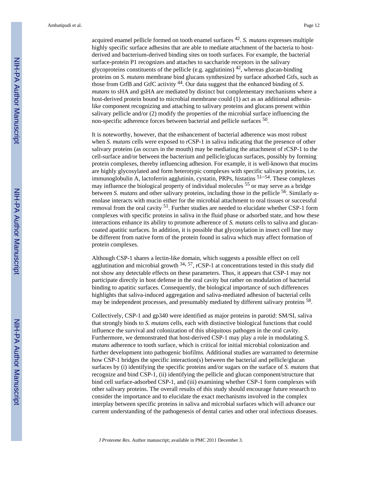acquired enamel pellicle formed on tooth enamel surfaces <sup>42</sup> . *S. mutans* expresses multiple highly specific surface adhesins that are able to mediate attachment of the bacteria to hostderived and bacterium-derived binding sites on tooth surfaces. For example, the bacterial surface-protein P1 recognizes and attaches to saccharide receptors in the salivary glycoproteins constituents of the pellicle (e.g. agglutinins)  $42$ , whereas glucan-binding proteins on *S. mutans* membrane bind glucans synthesized by surface adsorbed Gtfs, such as those from GtfB and GtfC activity 44. Our data suggest that the enhanced binding of *S. mutans* to sHA and gsHA are mediated by distinct but complementary mechanisms where a host-derived protein bound to microbial membrane could (1) act as an additional adhesinlike component recognizing and attaching to salivary proteins and glucans present within salivary pellicle and/or (2) modify the properties of the microbial surface influencing the non-specific adherence forces between bacterial and pellicle surfaces <sup>50</sup> .

It is noteworthy, however, that the enhancement of bacterial adherence was most robust when *S. mutans* cells were exposed to rCSP-1 in saliva indicating that the presence of other salivary proteins (as occurs in the mouth) may be mediating the attachment of rCSP-1 to the cell-surface and/or between the bacterium and pellicle/glucan surfaces, possibly by forming protein complexes, thereby influencing adhesion. For example, it is well-known that mucins are highly glycosylated and form heterotypic complexes with specific salivary proteins, i.e. immunoglobulin A, lactoferrin agglutinin, cystatin, PRPs, histatins  $51-54$ . These complexes may influence the biological property of individual molecules 55 or may serve as a bridge between *S. mutans* and other salivary proteins, including those in the pellicle 56. Similarly αenolase interacts with mucin either for the microbial attachment to oral tissues or successful removal from the oral cavity <sup>51</sup>. Further studies are needed to elucidate whether CSP-1 form complexes with specific proteins in saliva in the fluid phase or adsorbed state, and how these interactions enhance its ability to promote adherence of *S. mutans* cells to saliva and glucancoated apatitic surfaces. In addition, it is possible that glycosylation in insect cell line may be different from native form of the protein found in saliva which may affect formation of protein complexes.

Although CSP-1 shares a lectin-like domain, which suggests a possible effect on cell agglutination and microbial growth  $34$ ,  $57$ , rCSP-1 at concentrations tested in this study did not show any detectable effects on these parameters. Thus, it appears that CSP-1 may not participate directly in host defense in the oral cavity but rather on modulation of bacterial binding to apatitic surfaces. Consequently, the biological importance of such differences highlights that saliva-induced aggregation and saliva-mediated adhesion of bacterial cells may be independent processes, and presumably mediated by different salivary proteins <sup>58</sup>.

Collectively, CSP-1 and gp340 were identified as major proteins in parotid: SM/SL saliva that strongly binds to *S. mutans* cells, each with distinctive biological functions that could influence the survival and colonization of this ubiquitous pathogen in the oral cavity. Furthermore, we demonstrated that host-derived CSP-1 may play a role in modulating *S. mutans* adherence to tooth surface, which is critical for initial microbial colonization and further development into pathogenic biofilms. Additional studies are warranted to determine how CSP-1 bridges the specific interaction(s) between the bacterial and pellicle/glucan surfaces by (i) identifying the specific proteins and/or sugars on the surface of *S. mutans* that recognize and bind CSP-1, (ii) identifying the pellicle and glucan component/structure that bind cell surface-adsorbed CSP-1, and (iii) examining whether CSP-1 form complexes with other salivary proteins. The overall results of this study should encourage future research to consider the importance and to elucidate the exact mechanisms involved in the complex interplay between specific proteins in saliva and microbial surfaces which will advance our current understanding of the pathogenesis of dental caries and other oral infectious diseases.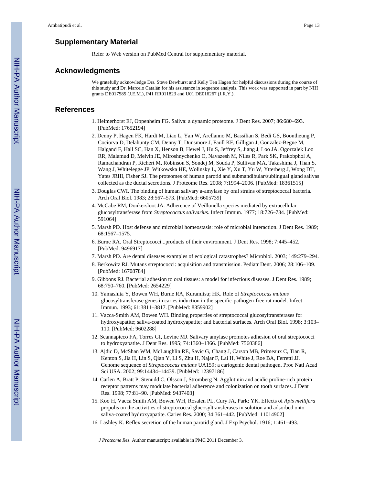#### **Supplementary Material**

Refer to Web version on PubMed Central for supplementary material.

#### **Acknowledgments**

We gratefully acknowledge Drs. Steve Dewhurst and Kelly Ten Hagen for helpful discussions during the course of this study and Dr. Marcelo Catalán for his assistance in sequence analysis. This work was supported in part by NIH grants DE017585 (J.E.M.), P41 RR011823 and U01 DE016267 (J.R.Y.).

#### **References**

- 1. Helmerhorst EJ, Oppenheim FG. Saliva: a dynamic proteome. J Dent Res. 2007; 86:680–693. [PubMed: 17652194]
- 2. Denny P, Hagen FK, Hardt M, Liao L, Yan W, Arellanno M, Bassilian S, Bedi GS, Boontheung P, Cociorva D, Delahunty CM, Denny T, Dunsmore J, Faull KF, Gilligan J, Gonzalez-Begne M, Halgand F, Hall SC, Han X, Henson B, Hewel J, Hu S, Jeffrey S, Jiang J, Loo JA, Ogorzalek Loo RR, Malamud D, Melvin JE, Miroshnychenko O, Navazesh M, Niles R, Park SK, Prakobphol A, Ramachandran P, Richert M, Robinson S, Sondej M, Souda P, Sullivan MA, Takashima J, Than S, Wang J, Whitelegge JP, Witkowska HE, Wolinsky L, Xie Y, Xu T, Yu W, Ytterberg J, Wong DT, Yates JRIII, Fisher SJ. The proteomes of human parotid and submandibular/sublingual gland salivas collected as the ductal secretions. J Proteome Res. 2008; 7:1994–2006. [PubMed: 18361515]
- 3. Douglas CWI. The binding of human salivary a-amylase by oral strains of streptococcal bacteria. Arch Oral Biol. 1983; 28:567–573. [PubMed: 6605739]
- 4. McCabe RM, Donkersloot JA. Adherence of Veillonella species mediated by extracellular glucosyltransferase from *Streptococcus salivarius*. Infect Immun. 1977; 18:726–734. [PubMed: 591064]
- 5. Marsh PD. Host defense and microbial homeostasis: role of microbial interaction. J Dent Res. 1989; 68:1567–1575.
- 6. Burne RA. Oral Streptococci...products of their environment. J Dent Res. 1998; 7:445–452. [PubMed: 9496917]
- 7. Marsh PD. Are dental diseases examples of ecological catastrophes? Microbiol. 2003; 149:279–294.
- 8. Berkowitz RJ. Mutans streptococci: acquisition and transmission. Pediatr Dent. 2006; 28:106–109. [PubMed: 16708784]
- 9. Gibbons RJ. Bacterial adhesion to oral tissues: a model for infectious diseases. J Dent Res. 1989; 68:750–760. [PubMed: 2654229]
- 10. Yamashita Y, Bowen WH, Burne RA, Kuramitsu; HK. Role of *Streptococcus mutans* glucosyltransferase genes in caries induction in the specific-pathogen-free rat model. Infect Immun. 1993; 61:3811–3817. [PubMed: 8359902]
- 11. Vacca-Smith AM, Bowen WH. Binding properties of streptococcal glucosyltransferases for hydroxyapatite; saliva-coated hydroxyapatite; and bacterial surfaces. Arch Oral Biol. 1998; 3:103– 110. [PubMed: 9602288]
- 12. Scannapieco FA, Torres GI, Levine MJ. Salivary amylase promotes adhesion of oral streptococci to hydroxyapatite. J Dent Res. 1995; 74:1360–1366. [PubMed: 7560386]
- 13. Ajdic D, McShan WM, McLaughlin RE, Savic G, Chang J, Carson MB, Primeaux C, Tian R, Kenton S, Jia H, Lin S, Qian Y, Li S, Zhu H, Najar F, Lai H, White J, Roe BA, Ferretti JJ. Genome sequence of *Streptococcus mutans* UA159; a cariogenic dental pathogen. Proc Natl Acad Sci USA. 2002; 99:14434–14439. [PubMed: 12397186]
- 14. Carlen A, Bratt P, Stenudd C, Olsson J, Stromberg N. Agglutinin and acidic proline-rich protein receptor patterns may modulate bacterial adherence and colonization on tooth surfaces. J Dent Res. 1998; 77:81–90. [PubMed: 9437403]
- 15. Koo H, Vacca Smith AM, Bowen WH, Rosalen PL, Cury JA, Park; YK. Effects of *Apis mellifera* propolis on the activities of streptococcal glucosyltransferases in solution and adsorbed onto saliva-coated hydroxyapatite. Caries Res. 2000; 34:361–442. [PubMed: 11014902]
- 16. Lashley K. Reflex secretion of the human parotid gland. J Exp Psychol. 1916; 1:461–493.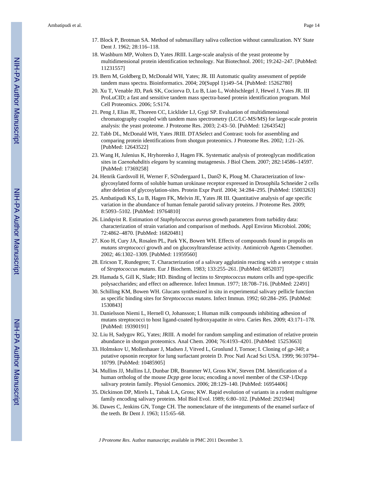- 17. Block P, Brotman SA. Method of submaxillary saliva collection without cannulization. NY State Dent J. 1962; 28:116–118.
- 18. Washburn MP, Wolters D, Yates JRIII. Large-scale analysis of the yeast proteome by multidimensional protein identification technology. Nat Biotechnol. 2001; 19:242–247. [PubMed: 11231557]
- 19. Bern M, Goldberg D, McDonald WH, Yates; JR. III Automatic quality assessment of peptide tandem mass spectra. Bioinformatics. 2004; 20(Suppl 1):i49–54. [PubMed: 15262780]
- 20. Xu T, Venable JD, Park SK, Cociorva D, Lu B, Liao L, Wohlschlegel J, Hewel J, Yates JR. III ProLuCID; a fast and sensitive tandem mass spectra-based protein identification program. Mol Cell Proteomics. 2006; 5:S174.
- 21. Peng J, Elias JE, Thoreen CC, Licklider LJ, Gygi SP. Evaluation of multidimensional chromatography coupled with tandem mass spectrometry (LC/LC-MS/MS) for large-scale protein analysis: the yeast proteome. J Proteome Res. 2003; 2:43–50. [PubMed: 12643542]
- 22. Tabb DL, McDonald WH, Yates JRIII. DTASelect and Contrast: tools for assembling and comparing protein identifications from shotgun proteomics. J Proteome Res. 2002; 1:21–26. [PubMed: 12643522]
- 23. Wang H, Julenius K, Hryhorenko J, Hagen FK. Systematic analysis of proteoglycan modification sites in *Caenohabditis elegans* by scanning mutagenesis. J Biol Chem. 2007; 282:14586–14597. [PubMed: 17369258]
- 24. Henrik Gardsvoll H, Werner F, S⊘ndergaard L, Dan⊘ K, Ploug M. Characterization of lowglycosylated forms of soluble human urokinase receptor expressed in Drosophila Schneider 2 cells after deletion of glycosylation-sites. Protein Expr Purif. 2004; 34:284–295. [PubMed: 15003263]
- 25. Ambatipudi KS, Lu B, Hagen FK, Melvin JE, Yates JR III. Quantitative analysis of age specific variation in the abundance of human female parotid salivary proteins. J Proteome Res. 2009; 8:5093–5102. [PubMed: 19764810]
- 26. Lindqvist R. Estimation of *Staphylococcus aureus* growth parameters from turbidity data: characterization of strain variation and comparison of methods. Appl Environ Microbiol. 2006; 72:4862–4870. [PubMed: 16820481]
- 27. Koo H, Cury JA, Rosalen PL, Park YK, Bowen WH. Effects of compounds found in propolis on *mutans streptococci* growth and on glucosyltransferase activity. Antimicrob Agents Chemother. 2002; 46:1302–1309. [PubMed: 11959560]
- 28. Ericson T, Rundegren; T. Characterization of a salivary agglutinin reacting with a serotype c strain of *Streptococcus mutans*. Eur J Biochem. 1983; 133:255–261. [PubMed: 6852037]
- 29. Hamada S, Gill K, Slade; HD. Binding of lectins to *Streptococcus mutans* cells and type-specific polysaccharides; and effect on adherence. Infect Immun. 1977; 18:708–716. [PubMed: 22491]
- 30. Schilling KM, Bowen WH. Glucans synthesized in situ in experimental salivary pellicle function as specific binding sites for *Streptococcus mutans*. Infect Immun. 1992; 60:284–295. [PubMed: 1530843]
- 31. Danielsson Niemi L, Hernell O, Johansson; I. Human milk compounds inhibiting adhesion of mutans streptococci to host ligand-coated hydroxyapatite *in vitro*. Caries Res. 2009; 43:171–178. [PubMed: 19390191]
- 32. Liu H, Sadygov RG, Yates; JRIII. A model for random sampling and estimation of relative protein abundance in shotgun proteomics. Anal Chem. 2004; 76:4193–4201. [PubMed: 15253663]
- 33. Holmskov U, Mollenhauer J, Madsen J, Vitved L, Gronlund J, Tornoe; I. Cloning of *gp-340*; a putative opsonin receptor for lung surfactant protein D. Proc Natl Acad Sci USA. 1999; 96:10794– 10799. [PubMed: 10485905]
- 34. Mullins JJ, Mullins LJ, Dunbar DR, Brammer WJ, Gross KW, Steven DM. Identification of a human ortholog of the mouse *Dcpp* gene locus; encoding a novel member of the CSP-1/Dcpp salivary protein family. Physiol Genomics. 2006; 28:129–140. [PubMed: 16954406]
- 35. Dickinson DP, Mirels L, Tabak LA, Gross; KW. Rapid evolution of variants in a rodent multigene family encoding salivary proteins. Mol Biol Evol. 1989; 6:80–102. [PubMed: 2921944]
- 36. Dawes C, Jenkins GN, Tonge CH. The nomenclature of the integuments of the enamel surface of the teeth. Br Dent J. 1963; 115:65–68.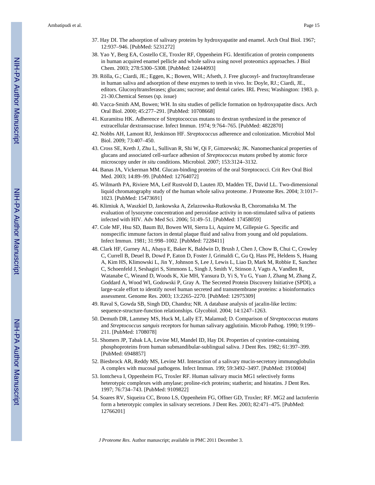- 37. Hay DI. The adsorption of salivary proteins by hydroxyapatite and enamel. Arch Oral Biol. 1967; 12:937–946. [PubMed: 5231272]
- 38. Yao Y, Berg EA, Costello CE, Troxler RF, Oppenheim FG. Identification of protein components in human acquired enamel pellicle and whole saliva using novel proteomics approaches. J Biol Chem. 2003; 278:5300–5308. [PubMed: 12444093]
- 39. Rölla, G.; Ciardi, JE.; Eggen, K.; Bowen, WH.; Afseth, J. Free glucosyl- and fructosyltransferase in human saliva and adsorption of these enzymes to teeth in vivo. In: Doyle, RJ.; Ciardi, JE., editors. Glucosyltransferases; glucans; sucrose; and dental caries. IRL Press; Washington: 1983. p. 21-30.Chemical Senses (sp. issue)
- 40. Vacca-Smith AM, Bowen; WH. In situ studies of pellicle formation on hydroxyapatite discs. Arch Oral Biol. 2000; 45:277–291. [PubMed: 10708668]
- 41. Kuramitsu HK. Adherence of Streptococcus mutans to dextran synthesized in the presence of extracellular dextransucrase. Infect Immun. 1974; 9:764–765. [PubMed: 4822870]
- 42. Nobbs AH, Lamont RJ, Jenkinson HF. *Streptococcus* adherence and colonization. Microbiol Mol Biol. 2009; 73:407–450.
- 43. Cross SE, Kreth J, Zhu L, Sullivan R, Shi W, Qi F, Gimzewski; JK. Nanomechanical properties of glucans and associated cell-surface adhesion of *Streptococcus mutans* probed by atomic force microscopy under *in situ* conditions. Microbiol. 2007; 153:3124–3132.
- 44. Banas JA, Vickerman MM. Glucan-binding proteins of the oral Streptococci. Crit Rev Oral Biol Med. 2003; 14:89–99. [PubMed: 12764072]
- 45. Wilmarth PA, Riviere MA, Leif Rustvold D, Lauten JD, Madden TE, David LL. Two-dimensional liquid chromatography study of the human whole saliva proteome. J Proteome Res. 2004; 3:1017– 1023. [PubMed: 15473691]
- 46. Klimiuk A, Waszkiel D, Jankowska A, Zelazowska-Rutkowska B, Choromańska M. The evaluation of lysozyme concentration and peroxidase activity in non-stimulated saliva of patients infected with HIV. Adv Med Sci. 2006; 51:49–51. [PubMed: 17458059]
- 47. Cole MF, Hsu SD, Baum BJ, Bowen WH, Sierra Li, Aquirre M, Gillepsie G. Specific and nonspecific immune factors in dental plaque fluid and saliva from young and old populations. Infect Immun. 1981; 31:998–1002. [PubMed: 7228411]
- 48. Clark HF, Gurney AL, Abaya E, Baker K, Baldwin D, Brush J, Chen J, Chow B, Chui C, Crowley C, Currell B, Deuel B, Dowd P, Eaton D, Foster J, Grimaldi C, Gu Q, Hass PE, Heldens S, Huang A, Kim HS, Klimowski L, Jin Y, Johnson S, Lee J, Lewis L, Liao D, Mark M, Robbie E, Sanchez C, Schoenfeld J, Seshagiri S, Simmons L, Singh J, Smith V, Stinson J, Vagts A, Vandlen R, Watanabe C, Wieand D, Woods K, Xie MH, Yansura D, Yi S, Yu G, Yuan J, Zhang M, Zhang Z, Goddard A, Wood WI, Godowski P, Gray A. The Secreted Protein Discovery Initiative (SPDI), a large-scale effort to identify novel human secreted and transmembrane proteins: a bioinformatics assessment. Genome Res. 2003; 13:2265–2270. [PubMed: 12975309]
- 49. Raval S, Gowda SB, Singh DD, Chandra; NR. A database analysis of jacalin-like lectins: sequence-structure-function relationships. Glycobiol. 2004; 14:1247–1263.
- 50. Demuth DR, Lammey MS, Huck M, Lally ET, Malamud; D. Comparison of *Streptococcus mutans* and *Streptococcus sanguis* receptors for human salivary agglutinin. Microb Pathog. 1990; 9:199– 211. [PubMed: 1708078]
- 51. Shomers JP, Tabak LA, Levine MJ, Mandel ID, Hay DI. Properties of cysteine-containing phosphoproteins from human submandibular-sublingual saliva. J Dent Res. 1982; 61:397–399. [PubMed: 6948857]
- 52. Biesbrock AR, Reddy MS, Levine MJ. Interaction of a salivary mucin-secretory immunoglobulin A complex with mucosal pathogens. Infect Immun. 199; 59:3492–3497. [PubMed: 1910004]
- 53. Iontcheva I, Oppenheim FG, Troxler RF. Human salivary mucin MG1 selectively forms heterotypic complexes with amylase; proline-rich proteins; statherin; and histatins. J Dent Res. 1997; 76:734–743. [PubMed: 9109822]
- 54. Soares RV, Siqueira CC, Brono LS, Oppenheim FG, Offner GD, Troxler; RF. MG2 and lactoferrin form a heterotypic complex in salivary secretions. J Dent Res. 2003; 82:471–475. [PubMed: 12766201]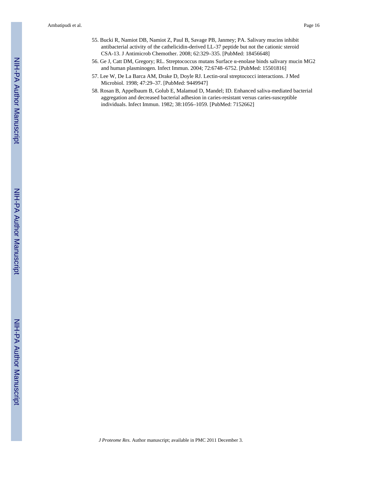- 55. Bucki R, Namiot DB, Namiot Z, Paul B, Savage PB, Janmey; PA. Salivary mucins inhibit antibacterial activity of the cathelicidin-derived LL-37 peptide but not the cationic steroid CSA-13. J Antimicrob Chemother. 2008; 62:329–335. [PubMed: 18456648]
- 56. Ge J, Catt DM, Gregory; RL. Streptococcus mutans Surface α-enolase binds salivary mucin MG2 and human plasminogen. Infect Immun. 2004; 72:6748–6752. [PubMed: 15501816]
- 57. Lee W, De La Barca AM, Drake D, Doyle RJ. Lectin-oral streptococci interactions. J Med Microbiol. 1998; 47:29–37. [PubMed: 9449947]
- 58. Rosan B, Appelbaum B, Golub E, Malamud D, Mandel; ID. Enhanced saliva-mediated bacterial aggregation and decreased bacterial adhesion in caries-resistant versus caries-susceptible individuals. Infect Immun. 1982; 38:1056–1059. [PubMed: 7152662]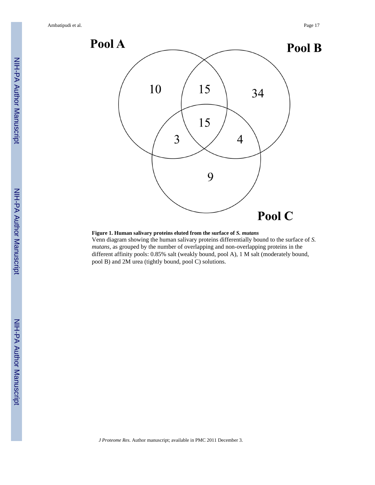

#### **Figure 1. Human salivary proteins eluted from the surface of** *S. mutans*

Venn diagram showing the human salivary proteins differentially bound to the surface of *S. mutans*, as grouped by the number of overlapping and non-overlapping proteins in the different affinity pools: 0.85% salt (weakly bound, pool A), 1 M salt (moderately bound, pool B) and 2M urea (tightly bound, pool C) solutions.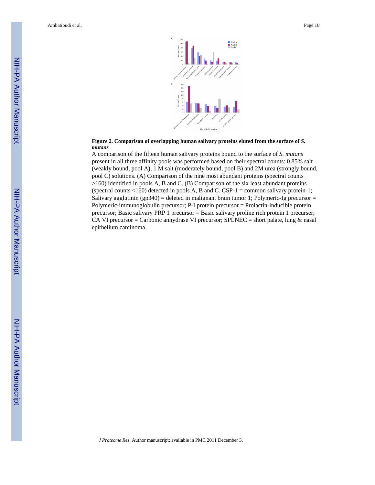

#### **Figure 2. Comparison of overlapping human salivary proteins eluted from the surface of** *S. mutans*

A comparison of the fifteen human salivary proteins bound to the surface of *S. mutans* present in all three affinity pools was performed based on their spectral counts: 0.85% salt (weakly bound, pool A), 1 M salt (moderately bound, pool B) and 2M urea (strongly bound, pool C) solutions. (A) Comparison of the nine most abundant proteins (spectral counts >160) identified in pools A, B and C. (B) Comparison of the six least abundant proteins (spectral counts  $<160$ ) detected in pools A, B and C. CSP-1 = common salivary protein-1; Salivary agglutinin (gp340) = deleted in malignant brain tumor 1; Polymeric-Ig precursor = Polymeric-immunoglobulin precursor; P-I protein precursor = Prolactin-inducible protein precursor; Basic salivary PRP 1 precursor = Basic salivary proline rich protein 1 precurser; CA VI precursor = Carbonic anhydrase VI precursor; SPLNEC = short palate, lung  $\&$  nasal epithelium carcinoma.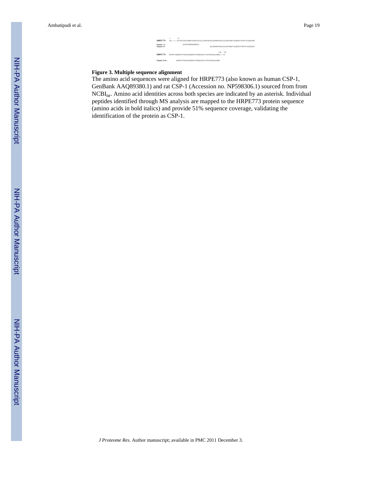

#### **Figure 3. Multiple sequence alignment**

The amino acid sequences were aligned for HRPE773 (also known as human CSP-1, GenBank AAQ89380.1) and rat CSP-1 (Accession no. NP598306.1) sourced from from NCBInr. Amino acid identities across both species are indicated by an asterisk. Individual peptides identified through MS analysis are mapped to the HRPE773 protein sequence (amino acids in bold italics) and provide 51% sequence coverage, validating the identification of the protein as CSP-1.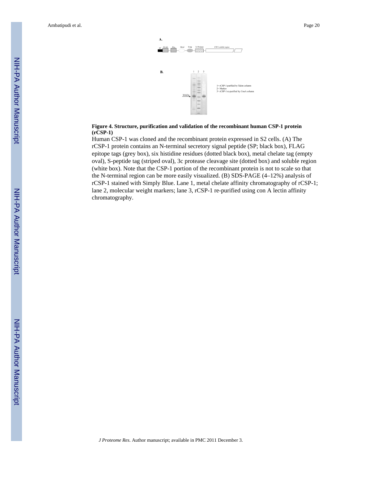

#### **Figure 4. Structure, purification and validation of the recombinant human CSP-1 protein (rCSP-1)**

Human CSP-1 was cloned and the recombinant protein expressed in S2 cells. (A) The rCSP-1 protein contains an N-terminal secretory signal peptide (SP; black box), FLAG epitope tags (grey box), six histidine residues (dotted black box), metal chelate tag (empty oval), S-peptide tag (striped oval), 3c protease cleavage site (dotted box) and soluble region (white box). Note that the CSP-1 portion of the recombinant protein is not to scale so that the N-terminal region can be more easily visualized. (B) SDS-PAGE (4–12%) analysis of rCSP-1 stained with Simply Blue. Lane 1, metal chelate affinity chromatography of rCSP-1; lane 2, molecular weight markers; lane 3, rCSP-1 re-purified using con A lectin affinity chromatography.